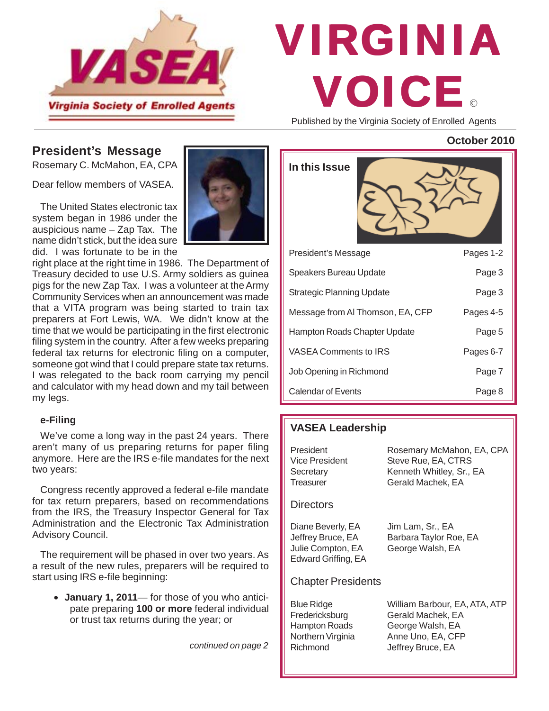

# © VIRGINIA VOICE

Published by the Virginia Society of Enrolled Agents

#### **President's Message**

Rosemary C. McMahon, EA, CPA

Dear fellow members of VASEA.

The United States electronic tax system began in 1986 under the auspicious name – Zap Tax. The name didn't stick, but the idea sure did. I was fortunate to be in the

right place at the right time in 1986. The Department of Treasury decided to use U.S. Army soldiers as guinea pigs for the new Zap Tax. I was a volunteer at the Army Community Services when an announcement was made that a VITA program was being started to train tax preparers at Fort Lewis, WA. We didn't know at the time that we would be participating in the first electronic filing system in the country. After a few weeks preparing federal tax returns for electronic filing on a computer, someone got wind that I could prepare state tax returns. I was relegated to the back room carrying my pencil and calculator with my head down and my tail between my legs.

#### **e-Filing**

We've come a long way in the past 24 years. There aren't many of us preparing returns for paper filing anymore. Here are the IRS e-file mandates for the next two years:

Congress recently approved a federal e-file mandate for tax return preparers, based on recommendations from the IRS, the Treasury Inspector General for Tax Administration and the Electronic Tax Administration Advisory Council.

The requirement will be phased in over two years. As a result of the new rules, preparers will be required to start using IRS e-file beginning:

• **January 1, 2011**— for those of you who anticipate preparing **100 or more** federal individual or trust tax returns during the year; or

*continued on page 2*

| In this Issue                    |           |
|----------------------------------|-----------|
| President's Message              | Pages 1-2 |
| Speakers Bureau Update           | Page 3    |
| <b>Strategic Planning Update</b> | Page 3    |
| Message from AI Thomson, EA, CFP | Pages 4-5 |
| Hampton Roads Chapter Update     | Page 5    |
| <b>VASEA Comments to IRS</b>     | Pages 6-7 |
| Job Opening in Richmond          | Page 7    |
| <b>Calendar of Events</b>        | Page 8    |

#### **VASEA Leadership**

| President<br>Vice President<br>Secretary<br>Treasurer                              | Rosemary McMahon, EA, CPA<br>Steve Rue, EA, CTRS<br>Kenneth Whitley, Sr., EA<br>Gerald Machek, EA |
|------------------------------------------------------------------------------------|---------------------------------------------------------------------------------------------------|
| <b>Directors</b>                                                                   |                                                                                                   |
| Diane Beverly, EA<br>Jeffrey Bruce, EA<br>Julie Compton, EA<br>Edward Griffing, EA | Jim Lam, Sr., EA<br>Barbara Taylor Roe, EA<br>George Walsh, EA                                    |
| <b>Chapter Presidents</b>                                                          |                                                                                                   |
| <b>Blue Ridge</b><br>Fredericksburg<br>Hampton Roads<br>Northern Virginia          | William Barbour, EA, ATA, ATP<br>Gerald Machek, EA<br>George Walsh, EA<br>Anne Uno, EA, CFP       |

Richmond Jeffrey Bruce, EA

#### **October 2010**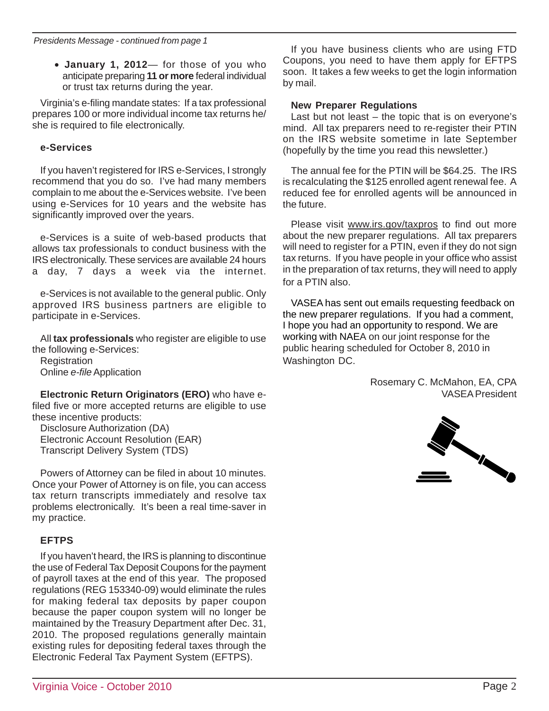• **January 1, 2012**— for those of you who anticipate preparing **11 or more** federal individual or trust tax returns during the year.

Virginia's e-filing mandate states: If a tax professional prepares 100 or more individual income tax returns he/ she is required to file electronically.

#### **e-Services**

If you haven't registered for IRS e-Services, I strongly recommend that you do so. I've had many members complain to me about the e-Services website. I've been using e-Services for 10 years and the website has significantly improved over the years.

e-Services is a suite of web-based products that allows tax professionals to conduct business with the IRS electronically. These services are available 24 hours a day, 7 days a week via the internet.

e-Services is not available to the general public. Only approved IRS business partners are eligible to participate in e-Services.

All **tax professionals** who register are eligible to use the following e-Services:

**Registration** Online *e-file* Application

**Electronic Return Originators (ERO)** who have efiled five or more accepted returns are eligible to use these incentive products:

Disclosure Authorization (DA) Electronic Account Resolution (EAR) Transcript Delivery System (TDS)

Powers of Attorney can be filed in about 10 minutes. Once your Power of Attorney is on file, you can access tax return transcripts immediately and resolve tax problems electronically. It's been a real time-saver in my practice.

## **EFTPS**

If you haven't heard, the IRS is planning to discontinue the use of Federal Tax Deposit Coupons for the payment of payroll taxes at the end of this year. The proposed regulations (REG 153340-09) would eliminate the rules for making federal tax deposits by paper coupon because the paper coupon system will no longer be maintained by the Treasury Department after Dec. 31, 2010. The proposed regulations generally maintain existing rules for depositing federal taxes through the Electronic Federal Tax Payment System (EFTPS).

If you have business clients who are using FTD Coupons, you need to have them apply for EFTPS soon. It takes a few weeks to get the login information by mail.

#### **New Preparer Regulations**

Last but not least – the topic that is on everyone's mind. All tax preparers need to re-register their PTIN on the IRS website sometime in late September (hopefully by the time you read this newsletter.)

The annual fee for the PTIN will be \$64.25. The IRS is recalculating the \$125 enrolled agent renewal fee. A reduced fee for enrolled agents will be announced in the future.

Please visit www.irs.gov/taxpros to find out more about the new preparer regulations. All tax preparers will need to register for a PTIN, even if they do not sign tax returns. If you have people in your office who assist in the preparation of tax returns, they will need to apply for a PTIN also.

VASEA has sent out emails requesting feedback on the new preparer regulations. If you had a comment, I hope you had an opportunity to respond. We are working with NAEA on our joint response for the public hearing scheduled for October 8, 2010 in Washington DC.

> Rosemary C. McMahon, EA, CPA VASEA President

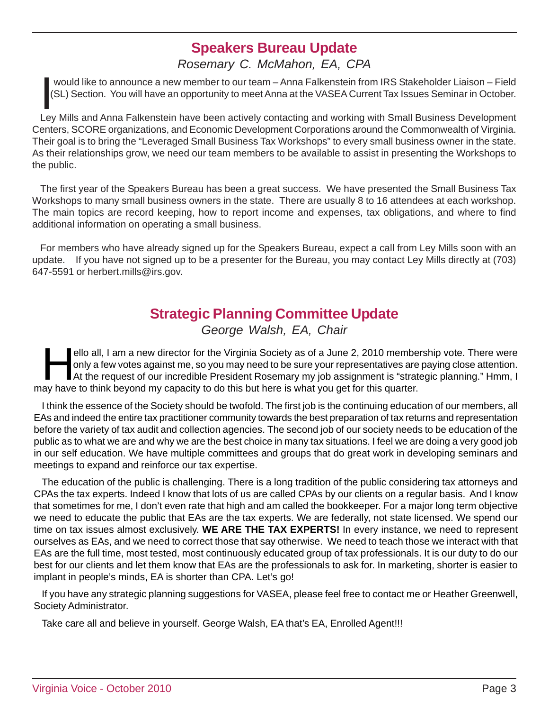## **Speakers Bureau Update**

## *Rosemary C. McMahon, EA, CPA*

would like to announce a new member to our team – Anna Falkenstein from IRS Stakeholder Liaison – Field<br>(SL) Section. You will have an opportunity to meet Anna at the VASEA Current Tax Issues Seminar in October.<br>Ley Mills would like to announce a new member to our team – Anna Falkenstein from IRS Stakeholder Liaison – Field (SL) Section. You will have an opportunity to meet Anna at the VASEA Current Tax Issues Seminar in October.

Centers, SCORE organizations, and Economic Development Corporations around the Commonwealth of Virginia. Their goal is to bring the "Leveraged Small Business Tax Workshops" to every small business owner in the state. As their relationships grow, we need our team members to be available to assist in presenting the Workshops to the public.

The first year of the Speakers Bureau has been a great success. We have presented the Small Business Tax Workshops to many small business owners in the state. There are usually 8 to 16 attendees at each workshop. The main topics are record keeping, how to report income and expenses, tax obligations, and where to find additional information on operating a small business.

For members who have already signed up for the Speakers Bureau, expect a call from Ley Mills soon with an update. If you have not signed up to be a presenter for the Bureau, you may contact Ley Mills directly at (703) 647-5591 or herbert.mills@irs.gov.

# **Strategic Planning Committee Update**

*George Walsh, EA, Chair*

ello all, I am a new director for the Virginia Society as of a June 2, 2010 membership vote. There were<br>only a few votes against me, so you may need to be sure your representatives are paying close attention.<br>At the reques only a few votes against me, so you may need to be sure your representatives are paying close attention. At the request of our incredible President Rosemary my job assignment is "strategic planning." Hmm, I may have to think beyond my capacity to do this but here is what you get for this quarter.

I think the essence of the Society should be twofold. The first job is the continuing education of our members, all EAs and indeed the entire tax practitioner community towards the best preparation of tax returns and representation before the variety of tax audit and collection agencies. The second job of our society needs to be education of the public as to what we are and why we are the best choice in many tax situations. I feel we are doing a very good job in our self education. We have multiple committees and groups that do great work in developing seminars and meetings to expand and reinforce our tax expertise.

The education of the public is challenging. There is a long tradition of the public considering tax attorneys and CPAs the tax experts. Indeed I know that lots of us are called CPAs by our clients on a regular basis. And I know that sometimes for me, I don't even rate that high and am called the bookkeeper. For a major long term objective we need to educate the public that EAs are the tax experts. We are federally, not state licensed. We spend our time on tax issues almost exclusively. **WE ARE THE TAX EXPERTS!** In every instance, we need to represent ourselves as EAs, and we need to correct those that say otherwise. We need to teach those we interact with that EAs are the full time, most tested, most continuously educated group of tax professionals. It is our duty to do our best for our clients and let them know that EAs are the professionals to ask for. In marketing, shorter is easier to implant in people's minds, EA is shorter than CPA. Let's go!

If you have any strategic planning suggestions for VASEA, please feel free to contact me or Heather Greenwell, Society Administrator.

Take care all and believe in yourself. George Walsh, EA that's EA, Enrolled Agent!!!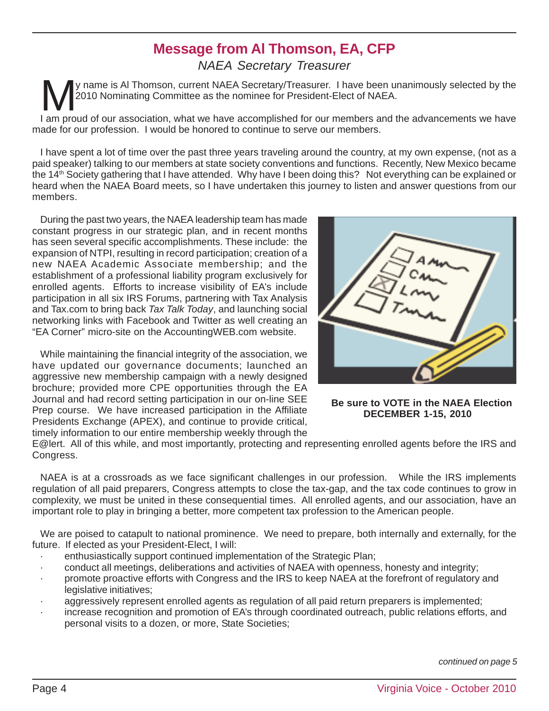# **Message from Al Thomson, EA, CFP**

**1 2 3** *NAEA Secretary Treasurer*

y name is Al Thomson, current NAEA Secretary/Treasurer. I have been unanimously selected by the 2010 Nominating Committee as the nominee for President-Elect of NAEA.

I am proud of our association, what we have accomplished for our members and the advancements we have made for our profession. I would be honored to continue to serve our members.

**4** members. I have spent a lot of time over the past three years traveling around the country, at my own expense, (not as a paid speaker) talking to our members at state society conventions and functions. Recently, New Mexico became the 14th Society gathering that I have attended. Why have I been doing this? Not everything can be explained or heard when the NAEA Board meets, so I have undertaken this journey to listen and answer questions from our

4 networking links with Facebook and Twitter as well creating an During the past two years, the NAEA leadership team has made constant progress in our strategic plan, and in recent months has seen several specific accomplishments. These include: the expansion of NTPI, resulting in record participation; creation of a new NAEA Academic Associate membership; and the establishment of a professional liability program exclusively for enrolled agents. Efforts to increase visibility of EA's include participation in all six IRS Forums, partnering with Tax Analysis and Tax.com to bring back *Tax Talk Today*, and launching social "EA Corner" micro-site on the AccountingWEB.com website.

**6** While maintaining the financial integrity of the association, we have updated our governance documents; launched an aggressive new membership campaign with a newly designed brochure; provided more CPE opportunities through the EA Journal and had record setting participation in our on-line SEE Prep course. We have increased participation in the Affiliate Presidents Exchange (APEX), and continue to provide critical, timely information to our entire membership weekly through the



**Be sure to VOTE in the NAEA Election DECEMBER 1-15, 2010**

E@lert. All of this while, and most importantly, protecting and representing enrolled agents before the IRS and<br>C Congress.

**9 10** complexity, we must be united in these consequential times. All enrolled agents, and our association, have an **11** regulation of all paid preparers, Congress attempts to close the tax-gap, and the tax code continues to grow in NAEA is at a crossroads as we face significant challenges in our profession. While the IRS implements important role to play in bringing a better, more competent tax profession to the American people.

We are poised to catapult to national prominence. We need to prepare, both internally and externally, for the future. If elected as your President-Elect, I will:

- enthusiastically support continued implementation of the Strategic Plan;
- · conduct all meetings, deliberations and activities of NAEA with openness, honesty and integrity;
- $\ddot{\phantom{2}}$ · Conduct all meetings, deliberations and activities of NAEA with openness, nonesty and integrity,<br>· Promote proactive efforts with Congress and the IRS to keep NAEA at the forefront of regulatory and legislative initiatives;
- aggressively represent enrolled agents as regulation of all paid return preparers is implemented;
- increase recognition and promotion of EA's through coordinated outreach, public relations efforts, and personal visits to a dozen, or more, State Societies;

*continued on page 5*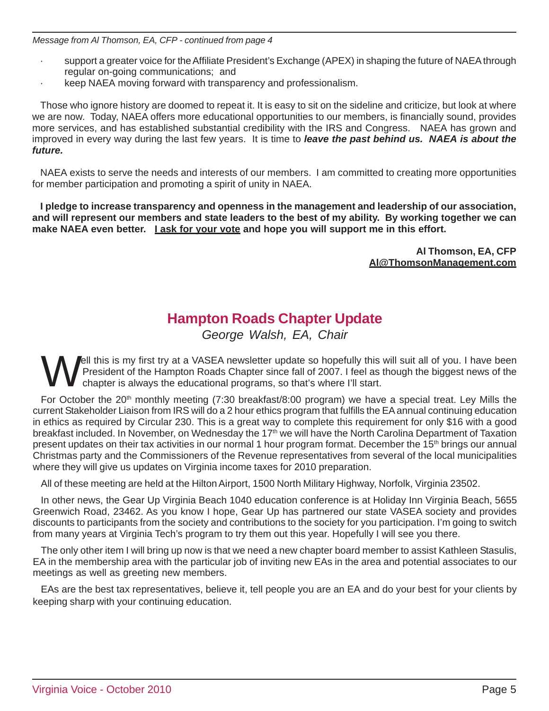*Message from Al Thomson, EA, CFP - continued from page 4*

- support a greater voice for the Affiliate President's Exchange (APEX) in shaping the future of NAEA through regular on-going communications; and
- · keep NAEA moving forward with transparency and professionalism.

Those who ignore history are doomed to repeat it. It is easy to sit on the sideline and criticize, but look at where we are now. Today, NAEA offers more educational opportunities to our members, is financially sound, provides more services, and has established substantial credibility with the IRS and Congress. NAEA has grown and improved in every way during the last few years. It is time to *leave the past behind us. NAEA is about the future.*

NAEA exists to serve the needs and interests of our members. I am committed to creating more opportunities for member participation and promoting a spirit of unity in NAEA.

**I pledge to increase transparency and openness in the management and leadership of our association, and will represent our members and state leaders to the best of my ability. By working together we can make NAEA even better. I ask for your vote and hope you will support me in this effort.**

> **Al Thomson, EA, CFP Al@ThomsonManagement.com**

## **Hampton Roads Chapter Update**

*George Walsh, EA, Chair*

lell this is my first try at a VASEA newsletter update so hopefully this will suit all of you. I have been President of the Hampton Roads Chapter since fall of 2007. I feel as though the biggest news of the chapter is always the educational programs, so that's where I'll start.

For October the 20<sup>th</sup> monthly meeting (7:30 breakfast/8:00 program) we have a special treat. Ley Mills the current Stakeholder Liaison from IRS will do a 2 hour ethics program that fulfills the EA annual continuing education in ethics as required by Circular 230. This is a great way to complete this requirement for only \$16 with a good breakfast included. In November, on Wednesday the 17<sup>th</sup> we will have the North Carolina Department of Taxation present updates on their tax activities in our normal 1 hour program format. December the 15<sup>th</sup> brings our annual Christmas party and the Commissioners of the Revenue representatives from several of the local municipalities where they will give us updates on Virginia income taxes for 2010 preparation.

All of these meeting are held at the Hilton Airport, 1500 North Military Highway, Norfolk, Virginia 23502.

In other news, the Gear Up Virginia Beach 1040 education conference is at Holiday Inn Virginia Beach, 5655 Greenwich Road, 23462. As you know I hope, Gear Up has partnered our state VASEA society and provides discounts to participants from the society and contributions to the society for you participation. I'm going to switch from many years at Virginia Tech's program to try them out this year. Hopefully I will see you there.

The only other item I will bring up now is that we need a new chapter board member to assist Kathleen Stasulis, EA in the membership area with the particular job of inviting new EAs in the area and potential associates to our meetings as well as greeting new members.

EAs are the best tax representatives, believe it, tell people you are an EA and do your best for your clients by keeping sharp with your continuing education.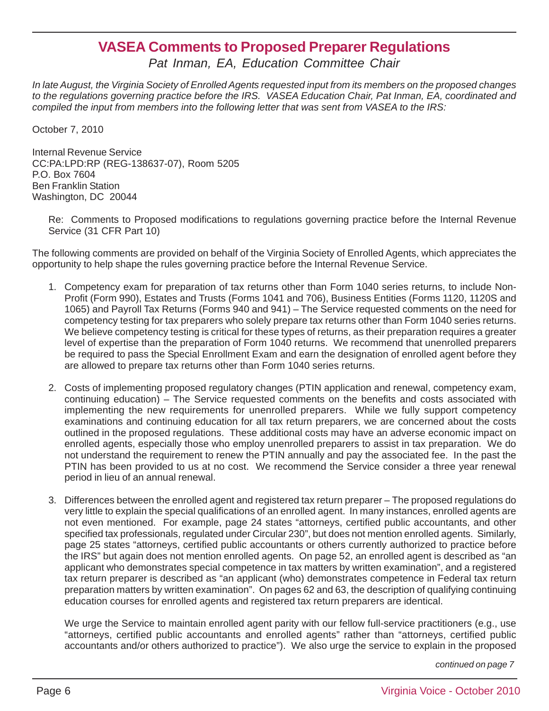## **VASEA Comments to Proposed Preparer Regulations**

*Pat Inman, EA, Education Committee Chair*

*In late August, the Virginia Society of Enrolled Agents requested input from its members on the proposed changes to the regulations governing practice before the IRS. VASEA Education Chair, Pat Inman, EA, coordinated and compiled the input from members into the following letter that was sent from VASEA to the IRS:*

October 7, 2010

Internal Revenue Service CC:PA:LPD:RP (REG-138637-07), Room 5205 P.O. Box 7604 Ben Franklin Station Washington, DC 20044

Re: Comments to Proposed modifications to regulations governing practice before the Internal Revenue Service (31 CFR Part 10)

The following comments are provided on behalf of the Virginia Society of Enrolled Agents, which appreciates the opportunity to help shape the rules governing practice before the Internal Revenue Service.

- 1. Competency exam for preparation of tax returns other than Form 1040 series returns, to include Non-Profit (Form 990), Estates and Trusts (Forms 1041 and 706), Business Entities (Forms 1120, 1120S and 1065) and Payroll Tax Returns (Forms 940 and 941) – The Service requested comments on the need for competency testing for tax preparers who solely prepare tax returns other than Form 1040 series returns. We believe competency testing is critical for these types of returns, as their preparation requires a greater level of expertise than the preparation of Form 1040 returns. We recommend that unenrolled preparers be required to pass the Special Enrollment Exam and earn the designation of enrolled agent before they are allowed to prepare tax returns other than Form 1040 series returns.
- 2. Costs of implementing proposed regulatory changes (PTIN application and renewal, competency exam, continuing education) – The Service requested comments on the benefits and costs associated with implementing the new requirements for unenrolled preparers. While we fully support competency examinations and continuing education for all tax return preparers, we are concerned about the costs outlined in the proposed regulations. These additional costs may have an adverse economic impact on enrolled agents, especially those who employ unenrolled preparers to assist in tax preparation. We do not understand the requirement to renew the PTIN annually and pay the associated fee. In the past the PTIN has been provided to us at no cost. We recommend the Service consider a three year renewal period in lieu of an annual renewal.
- 3. Differences between the enrolled agent and registered tax return preparer The proposed regulations do very little to explain the special qualifications of an enrolled agent. In many instances, enrolled agents are not even mentioned. For example, page 24 states "attorneys, certified public accountants, and other specified tax professionals, regulated under Circular 230", but does not mention enrolled agents. Similarly, page 25 states "attorneys, certified public accountants or others currently authorized to practice before the IRS" but again does not mention enrolled agents. On page 52, an enrolled agent is described as "an applicant who demonstrates special competence in tax matters by written examination", and a registered tax return preparer is described as "an applicant (who) demonstrates competence in Federal tax return preparation matters by written examination". On pages 62 and 63, the description of qualifying continuing education courses for enrolled agents and registered tax return preparers are identical.

We urge the Service to maintain enrolled agent parity with our fellow full-service practitioners (e.g., use "attorneys, certified public accountants and enrolled agents" rather than "attorneys, certified public accountants and/or others authorized to practice"). We also urge the service to explain in the proposed

*continued on page 7*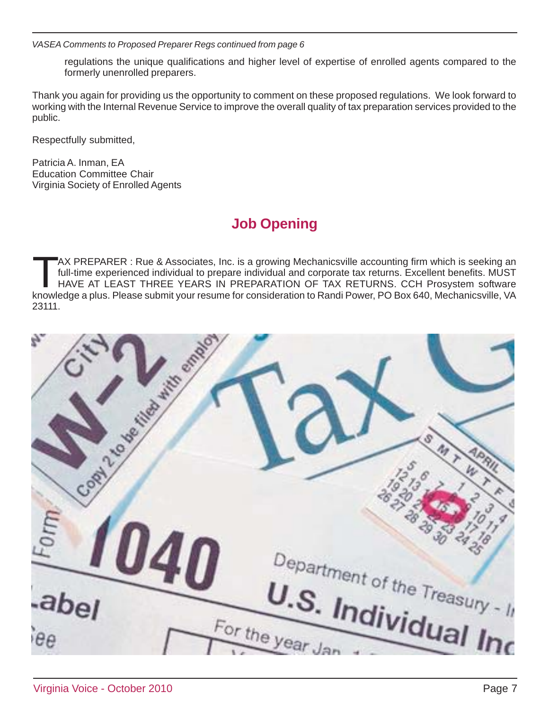*VASEA Comments to Proposed Preparer Regs continued from page 6*

regulations the unique qualifications and higher level of expertise of enrolled agents compared to the formerly unenrolled preparers.

Thank you again for providing us the opportunity to comment on these proposed regulations. We look forward to working with the Internal Revenue Service to improve the overall quality of tax preparation services provided to the public.

Respectfully submitted,

Patricia A. Inman, EA Education Committee Chair Virginia Society of Enrolled Agents

# **Job Opening**

TTAX PREPARER : Rue & Associates, Inc. is a growing Mechanicsville accounting firm which is seeking an<br>
full-time experienced individual to prepare individual and corporate tax returns. Excellent benefits. MUST<br>
HAVE AT LE full-time experienced individual to prepare individual and corporate tax returns. Excellent benefits. MUST knowledge a plus. Please submit your resume for consideration to Randi Power, PO Box 640, Mechanicsville, VA 23111.